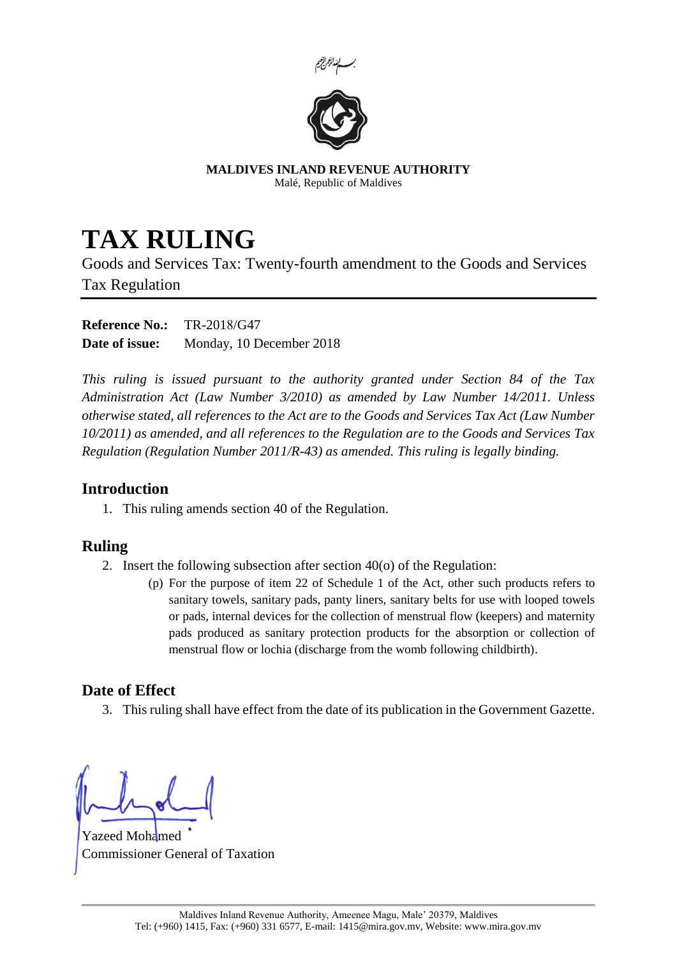



**MALDIVES INLAND REVENUE AUTHORITY** Malé, Republic of Maldives

## **TAX RULING**

Goods and Services Tax: Twenty-fourth amendment to the Goods and Services Tax Regulation

**Reference No.:** TR-2018/G47 **Date of issue:** Monday, 10 December 2018

*This ruling is issued pursuant to the authority granted under Section 84 of the Tax Administration Act (Law Number 3/2010) as amended by Law Number 14/2011. Unless otherwise stated, all references to the Act are to the Goods and Services Tax Act (Law Number 10/2011) as amended, and all references to the Regulation are to the Goods and Services Tax Regulation (Regulation Number 2011/R-43) as amended. This ruling is legally binding.*

## **Introduction**

1. This ruling amends section 40 of the Regulation.

## **Ruling**

- 2. Insert the following subsection after section 40(o) of the Regulation:
	- (p) For the purpose of item 22 of Schedule 1 of the Act, other such products refers to sanitary towels, sanitary pads, panty liners, sanitary belts for use with looped towels or pads, internal devices for the collection of menstrual flow (keepers) and maternity pads produced as sanitary protection products for the absorption or collection of menstrual flow or lochia (discharge from the womb following childbirth).

## **Date of Effect**

3. This ruling shall have effect from the date of its publication in the Government Gazette.

Yazeed Mohamed Commissioner General of Taxation